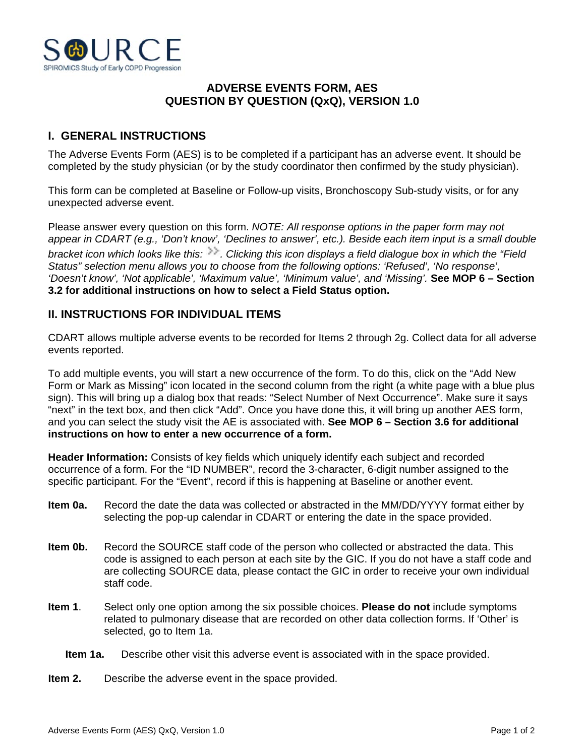

## **ADVERSE EVENTS FORM, AES QUESTION BY QUESTION (QxQ), VERSION 1.0**

## **I. GENERAL INSTRUCTIONS**

The Adverse Events Form (AES) is to be completed if a participant has an adverse event. It should be completed by the study physician (or by the study coordinator then confirmed by the study physician).

This form can be completed at Baseline or Follow-up visits, Bronchoscopy Sub-study visits, or for any unexpected adverse event.

Please answer every question on this form. *NOTE: All response options in the paper form may not appear in CDART (e.g., 'Don't know', 'Declines to answer', etc.). Beside each item input is a small double bracket icon which looks like this:*  $\gg$ . Clicking this icon displays a field dialogue box in which the "Field *Status" selection menu allows you to choose from the following options: 'Refused', 'No response', 'Doesn't know', 'Not applicable', 'Maximum value', 'Minimum value', and 'Missing'.* **See MOP 6 – Section 3.2 for additional instructions on how to select a Field Status option.**

## **II. INSTRUCTIONS FOR INDIVIDUAL ITEMS**

CDART allows multiple adverse events to be recorded for Items 2 through 2g. Collect data for all adverse events reported.

To add multiple events, you will start a new occurrence of the form. To do this, click on the "Add New Form or Mark as Missing" icon located in the second column from the right (a white page with a blue plus sign). This will bring up a dialog box that reads: "Select Number of Next Occurrence". Make sure it says "next" in the text box, and then click "Add". Once you have done this, it will bring up another AES form, and you can select the study visit the AE is associated with. **See MOP 6 – Section 3.6 for additional instructions on how to enter a new occurrence of a form.**

**Header Information:** Consists of key fields which uniquely identify each subject and recorded occurrence of a form. For the "ID NUMBER", record the 3-character, 6-digit number assigned to the specific participant. For the "Event", record if this is happening at Baseline or another event.

- **Item 0a.** Record the date the data was collected or abstracted in the MM/DD/YYYY format either by selecting the pop-up calendar in CDART or entering the date in the space provided.
- **Item 0b.** Record the SOURCE staff code of the person who collected or abstracted the data. This code is assigned to each person at each site by the GIC. If you do not have a staff code and are collecting SOURCE data, please contact the GIC in order to receive your own individual staff code.
- **Item 1**. Select only one option among the six possible choices. **Please do not** include symptoms related to pulmonary disease that are recorded on other data collection forms. If 'Other' is selected, go to Item 1a.
	- **Item 1a.** Describe other visit this adverse event is associated with in the space provided.
- **Item 2.** Describe the adverse event in the space provided.